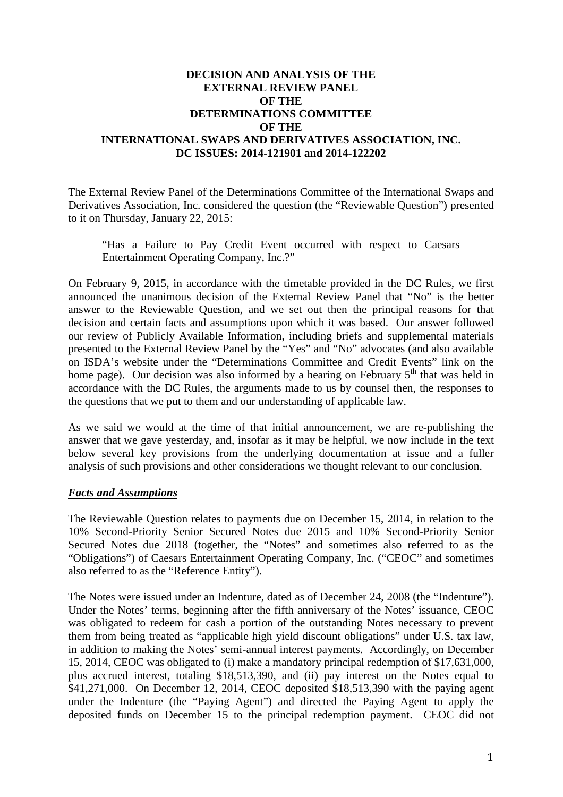# **DECISION AND ANALYSIS OF THE EXTERNAL REVIEW PANEL OF THE DETERMINATIONS COMMITTEE OF THE INTERNATIONAL SWAPS AND DERIVATIVES ASSOCIATION, INC. DC ISSUES: 2014-121901 and 2014-122202**

The External Review Panel of the Determinations Committee of the International Swaps and Derivatives Association, Inc. considered the question (the "Reviewable Question") presented to it on Thursday, January 22, 2015:

"Has a Failure to Pay Credit Event occurred with respect to Caesars Entertainment Operating Company, Inc.?"

On February 9, 2015, in accordance with the timetable provided in the DC Rules, we first announced the unanimous decision of the External Review Panel that "No" is the better answer to the Reviewable Question, and we set out then the principal reasons for that decision and certain facts and assumptions upon which it was based. Our answer followed our review of Publicly Available Information, including briefs and supplemental materials presented to the External Review Panel by the "Yes" and "No" advocates (and also available on ISDA's website under the "Determinations Committee and Credit Events" link on the home page). Our decision was also informed by a hearing on February  $5<sup>th</sup>$  that was held in accordance with the DC Rules, the arguments made to us by counsel then, the responses to the questions that we put to them and our understanding of applicable law.

As we said we would at the time of that initial announcement, we are re-publishing the answer that we gave yesterday, and, insofar as it may be helpful, we now include in the text below several key provisions from the underlying documentation at issue and a fuller analysis of such provisions and other considerations we thought relevant to our conclusion.

## *Facts and Assumptions*

The Reviewable Question relates to payments due on December 15, 2014, in relation to the 10% Second-Priority Senior Secured Notes due 2015 and 10% Second-Priority Senior Secured Notes due 2018 (together, the "Notes" and sometimes also referred to as the "Obligations") of Caesars Entertainment Operating Company, Inc. ("CEOC" and sometimes also referred to as the "Reference Entity").

The Notes were issued under an Indenture, dated as of December 24, 2008 (the "Indenture"). Under the Notes' terms, beginning after the fifth anniversary of the Notes' issuance, CEOC was obligated to redeem for cash a portion of the outstanding Notes necessary to prevent them from being treated as "applicable high yield discount obligations" under U.S. tax law, in addition to making the Notes' semi-annual interest payments. Accordingly, on December 15, 2014, CEOC was obligated to (i) make a mandatory principal redemption of \$17,631,000, plus accrued interest, totaling \$18,513,390, and (ii) pay interest on the Notes equal to \$41,271,000. On December 12, 2014, CEOC deposited \$18,513,390 with the paying agent under the Indenture (the "Paying Agent") and directed the Paying Agent to apply the deposited funds on December 15 to the principal redemption payment. CEOC did not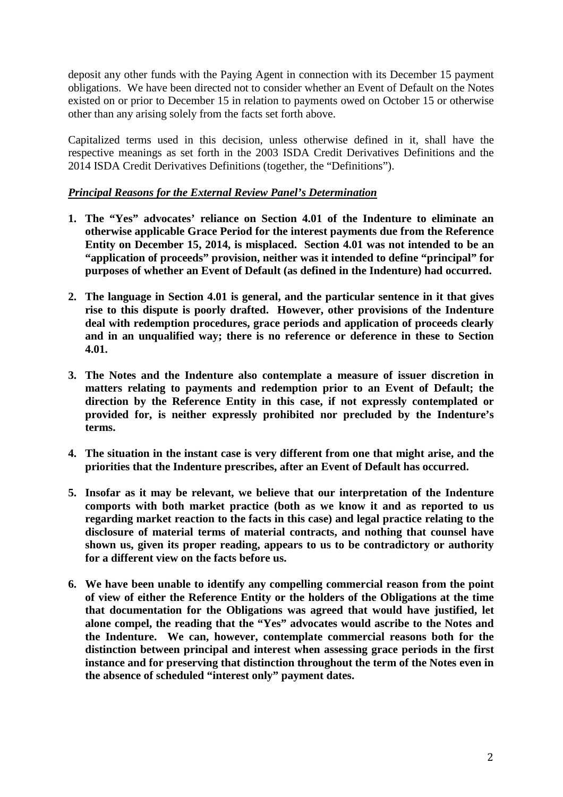deposit any other funds with the Paying Agent in connection with its December 15 payment obligations. We have been directed not to consider whether an Event of Default on the Notes existed on or prior to December 15 in relation to payments owed on October 15 or otherwise other than any arising solely from the facts set forth above.

Capitalized terms used in this decision, unless otherwise defined in it, shall have the respective meanings as set forth in the 2003 ISDA Credit Derivatives Definitions and the 2014 ISDA Credit Derivatives Definitions (together, the "Definitions").

# *Principal Reasons for the External Review Panel's Determination*

- **1. The "Yes" advocates' reliance on Section 4.01 of the Indenture to eliminate an otherwise applicable Grace Period for the interest payments due from the Reference Entity on December 15, 2014, is misplaced. Section 4.01 was not intended to be an "application of proceeds" provision, neither was it intended to define "principal" for purposes of whether an Event of Default (as defined in the Indenture) had occurred.**
- **2. The language in Section 4.01 is general, and the particular sentence in it that gives rise to this dispute is poorly drafted. However, other provisions of the Indenture deal with redemption procedures, grace periods and application of proceeds clearly and in an unqualified way; there is no reference or deference in these to Section 4.01.**
- **3. The Notes and the Indenture also contemplate a measure of issuer discretion in matters relating to payments and redemption prior to an Event of Default; the direction by the Reference Entity in this case, if not expressly contemplated or provided for, is neither expressly prohibited nor precluded by the Indenture's terms.**
- **4. The situation in the instant case is very different from one that might arise, and the priorities that the Indenture prescribes, after an Event of Default has occurred.**
- **5. Insofar as it may be relevant, we believe that our interpretation of the Indenture comports with both market practice (both as we know it and as reported to us regarding market reaction to the facts in this case) and legal practice relating to the disclosure of material terms of material contracts, and nothing that counsel have shown us, given its proper reading, appears to us to be contradictory or authority for a different view on the facts before us.**
- **6. We have been unable to identify any compelling commercial reason from the point of view of either the Reference Entity or the holders of the Obligations at the time that documentation for the Obligations was agreed that would have justified, let alone compel, the reading that the "Yes" advocates would ascribe to the Notes and the Indenture. We can, however, contemplate commercial reasons both for the distinction between principal and interest when assessing grace periods in the first instance and for preserving that distinction throughout the term of the Notes even in the absence of scheduled "interest only" payment dates.**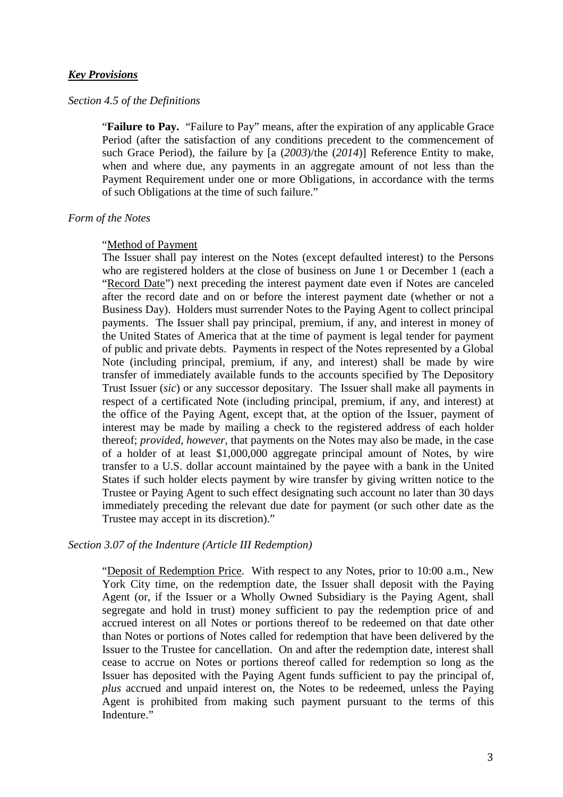## *Key Provisions*

### *Section 4.5 of the Definitions*

"**Failure to Pay.** "Failure to Pay" means, after the expiration of any applicable Grace Period (after the satisfaction of any conditions precedent to the commencement of such Grace Period), the failure by [a (*2003*)/the (*2014*)] Reference Entity to make, when and where due, any payments in an aggregate amount of not less than the Payment Requirement under one or more Obligations, in accordance with the terms of such Obligations at the time of such failure."

### *Form of the Notes*

#### "Method of Payment

The Issuer shall pay interest on the Notes (except defaulted interest) to the Persons who are registered holders at the close of business on June 1 or December 1 (each a "Record Date") next preceding the interest payment date even if Notes are canceled after the record date and on or before the interest payment date (whether or not a Business Day). Holders must surrender Notes to the Paying Agent to collect principal payments. The Issuer shall pay principal, premium, if any, and interest in money of the United States of America that at the time of payment is legal tender for payment of public and private debts. Payments in respect of the Notes represented by a Global Note (including principal, premium, if any, and interest) shall be made by wire transfer of immediately available funds to the accounts specified by The Depository Trust Issuer (*sic*) or any successor depositary. The Issuer shall make all payments in respect of a certificated Note (including principal, premium, if any, and interest) at the office of the Paying Agent, except that, at the option of the Issuer, payment of interest may be made by mailing a check to the registered address of each holder thereof; *provided, however*, that payments on the Notes may also be made, in the case of a holder of at least \$1,000,000 aggregate principal amount of Notes, by wire transfer to a U.S. dollar account maintained by the payee with a bank in the United States if such holder elects payment by wire transfer by giving written notice to the Trustee or Paying Agent to such effect designating such account no later than 30 days immediately preceding the relevant due date for payment (or such other date as the Trustee may accept in its discretion)."

### *Section 3.07 of the Indenture (Article III Redemption)*

"Deposit of Redemption Price. With respect to any Notes, prior to 10:00 a.m., New York City time, on the redemption date, the Issuer shall deposit with the Paying Agent (or, if the Issuer or a Wholly Owned Subsidiary is the Paying Agent, shall segregate and hold in trust) money sufficient to pay the redemption price of and accrued interest on all Notes or portions thereof to be redeemed on that date other than Notes or portions of Notes called for redemption that have been delivered by the Issuer to the Trustee for cancellation. On and after the redemption date, interest shall cease to accrue on Notes or portions thereof called for redemption so long as the Issuer has deposited with the Paying Agent funds sufficient to pay the principal of, *plus* accrued and unpaid interest on, the Notes to be redeemed, unless the Paying Agent is prohibited from making such payment pursuant to the terms of this Indenture."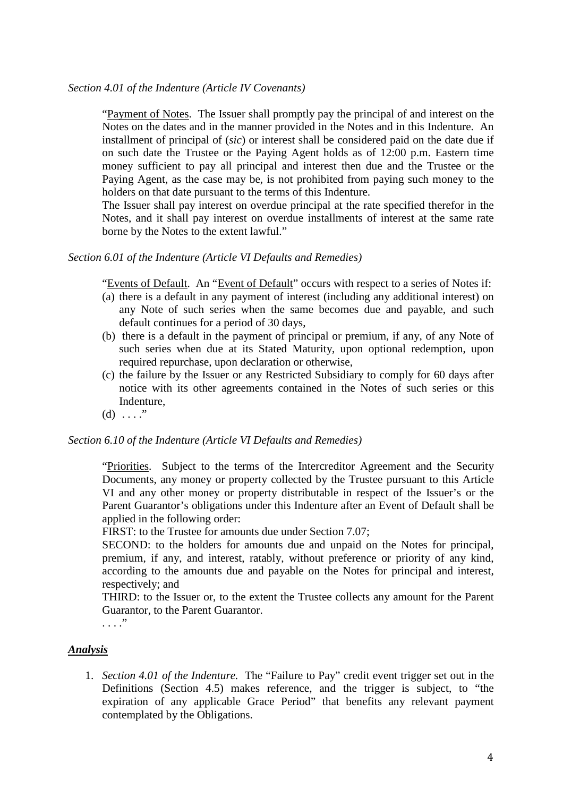"Payment of Notes. The Issuer shall promptly pay the principal of and interest on the Notes on the dates and in the manner provided in the Notes and in this Indenture. An installment of principal of (*sic*) or interest shall be considered paid on the date due if on such date the Trustee or the Paying Agent holds as of 12:00 p.m. Eastern time money sufficient to pay all principal and interest then due and the Trustee or the Paying Agent, as the case may be, is not prohibited from paying such money to the holders on that date pursuant to the terms of this Indenture.

The Issuer shall pay interest on overdue principal at the rate specified therefor in the Notes, and it shall pay interest on overdue installments of interest at the same rate borne by the Notes to the extent lawful."

## *Section 6.01 of the Indenture (Article VI Defaults and Remedies)*

"Events of Default. An "Event of Default" occurs with respect to a series of Notes if:

- (a) there is a default in any payment of interest (including any additional interest) on any Note of such series when the same becomes due and payable, and such default continues for a period of 30 days,
- (b) there is a default in the payment of principal or premium, if any, of any Note of such series when due at its Stated Maturity, upon optional redemption, upon required repurchase, upon declaration or otherwise,
- (c) the failure by the Issuer or any Restricted Subsidiary to comply for 60 days after notice with its other agreements contained in the Notes of such series or this Indenture,
- (d)  $\ldots$ ."

## *Section 6.10 of the Indenture (Article VI Defaults and Remedies)*

"Priorities. Subject to the terms of the Intercreditor Agreement and the Security Documents, any money or property collected by the Trustee pursuant to this Article VI and any other money or property distributable in respect of the Issuer's or the Parent Guarantor's obligations under this Indenture after an Event of Default shall be applied in the following order:

FIRST: to the Trustee for amounts due under Section 7.07;

SECOND: to the holders for amounts due and unpaid on the Notes for principal, premium, if any, and interest, ratably, without preference or priority of any kind, according to the amounts due and payable on the Notes for principal and interest, respectively; and

THIRD: to the Issuer or, to the extent the Trustee collects any amount for the Parent Guarantor, to the Parent Guarantor.

. . . ."

# *Analysis*

1. *Section 4.01 of the Indenture.* The "Failure to Pay" credit event trigger set out in the Definitions (Section 4.5) makes reference, and the trigger is subject, to "the expiration of any applicable Grace Period" that benefits any relevant payment contemplated by the Obligations.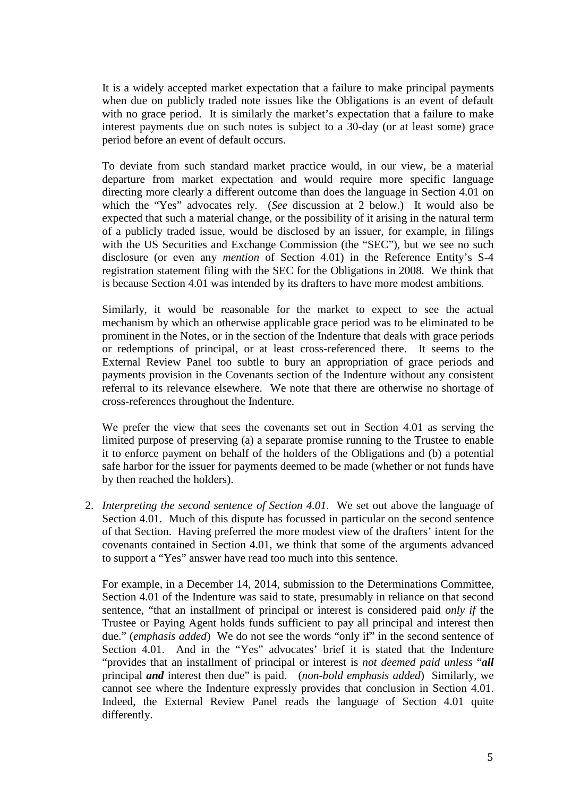It is a widely accepted market expectation that a failure to make principal payments when due on publicly traded note issues like the Obligations is an event of default with no grace period. It is similarly the market's expectation that a failure to make interest payments due on such notes is subject to a 30-day (or at least some) grace period before an event of default occurs.

To deviate from such standard market practice would, in our view, be a material departure from market expectation and would require more specific language directing more clearly a different outcome than does the language in Section 4.01 on which the "Yes" advocates rely. (*See* discussion at 2 below.) It would also be expected that such a material change, or the possibility of it arising in the natural term of a publicly traded issue, would be disclosed by an issuer, for example, in filings with the US Securities and Exchange Commission (the "SEC"), but we see no such disclosure (or even any *mention* of Section 4.01) in the Reference Entity's S-4 registration statement filing with the SEC for the Obligations in 2008. We think that is because Section 4.01 was intended by its drafters to have more modest ambitions.

Similarly, it would be reasonable for the market to expect to see the actual mechanism by which an otherwise applicable grace period was to be eliminated to be prominent in the Notes, or in the section of the Indenture that deals with grace periods or redemptions of principal, or at least cross-referenced there. It seems to the External Review Panel too subtle to bury an appropriation of grace periods and payments provision in the Covenants section of the Indenture without any consistent referral to its relevance elsewhere. We note that there are otherwise no shortage of cross-references throughout the Indenture.

We prefer the view that sees the covenants set out in Section 4.01 as serving the limited purpose of preserving (a) a separate promise running to the Trustee to enable it to enforce payment on behalf of the holders of the Obligations and (b) a potential safe harbor for the issuer for payments deemed to be made (whether or not funds have by then reached the holders).

2. *Interpreting the second sentence of Section 4.01.* We set out above the language of Section 4.01. Much of this dispute has focussed in particular on the second sentence of that Section. Having preferred the more modest view of the drafters' intent for the covenants contained in Section 4.01, we think that some of the arguments advanced to support a "Yes" answer have read too much into this sentence.

For example, in a December 14, 2014, submission to the Determinations Committee, Section 4.01 of the Indenture was said to state, presumably in reliance on that second sentence, "that an installment of principal or interest is considered paid *only if* the Trustee or Paying Agent holds funds sufficient to pay all principal and interest then due." (*emphasis added*) We do not see the words "only if" in the second sentence of Section 4.01. And in the "Yes" advocates' brief it is stated that the Indenture "provides that an installment of principal or interest is *not deemed paid unless* "*all*  principal *and* interest then due" is paid. (*non-bold emphasis added*) Similarly, we cannot see where the Indenture expressly provides that conclusion in Section 4.01. Indeed, the External Review Panel reads the language of Section 4.01 quite differently.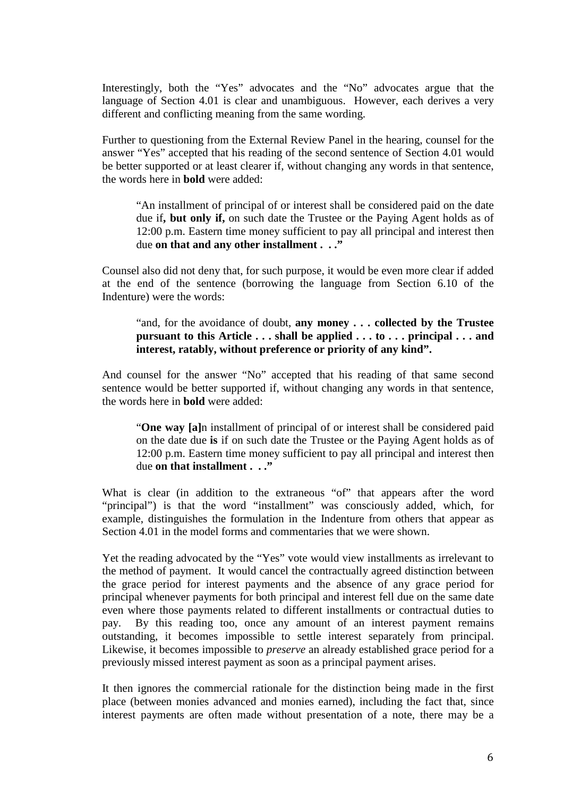Interestingly, both the "Yes" advocates and the "No" advocates argue that the language of Section 4.01 is clear and unambiguous. However, each derives a very different and conflicting meaning from the same wording.

Further to questioning from the External Review Panel in the hearing, counsel for the answer "Yes" accepted that his reading of the second sentence of Section 4.01 would be better supported or at least clearer if, without changing any words in that sentence, the words here in **bold** were added:

"An installment of principal of or interest shall be considered paid on the date due if**, but only if,** on such date the Trustee or the Paying Agent holds as of 12:00 p.m. Eastern time money sufficient to pay all principal and interest then due **on that and any other installment . . ."**

Counsel also did not deny that, for such purpose, it would be even more clear if added at the end of the sentence (borrowing the language from Section 6.10 of the Indenture) were the words:

"and, for the avoidance of doubt, **any money . . . collected by the Trustee pursuant to this Article . . . shall be applied . . . to . . . principal . . . and interest, ratably, without preference or priority of any kind".**

And counsel for the answer "No" accepted that his reading of that same second sentence would be better supported if, without changing any words in that sentence, the words here in **bold** were added:

"**One way [a]**n installment of principal of or interest shall be considered paid on the date due **is** if on such date the Trustee or the Paying Agent holds as of 12:00 p.m. Eastern time money sufficient to pay all principal and interest then due **on that installment . . ."**

What is clear (in addition to the extraneous "of" that appears after the word "principal") is that the word "installment" was consciously added, which, for example, distinguishes the formulation in the Indenture from others that appear as Section 4.01 in the model forms and commentaries that we were shown.

Yet the reading advocated by the "Yes" vote would view installments as irrelevant to the method of payment. It would cancel the contractually agreed distinction between the grace period for interest payments and the absence of any grace period for principal whenever payments for both principal and interest fell due on the same date even where those payments related to different installments or contractual duties to pay. By this reading too, once any amount of an interest payment remains outstanding, it becomes impossible to settle interest separately from principal. Likewise, it becomes impossible to *preserve* an already established grace period for a previously missed interest payment as soon as a principal payment arises.

It then ignores the commercial rationale for the distinction being made in the first place (between monies advanced and monies earned), including the fact that, since interest payments are often made without presentation of a note, there may be a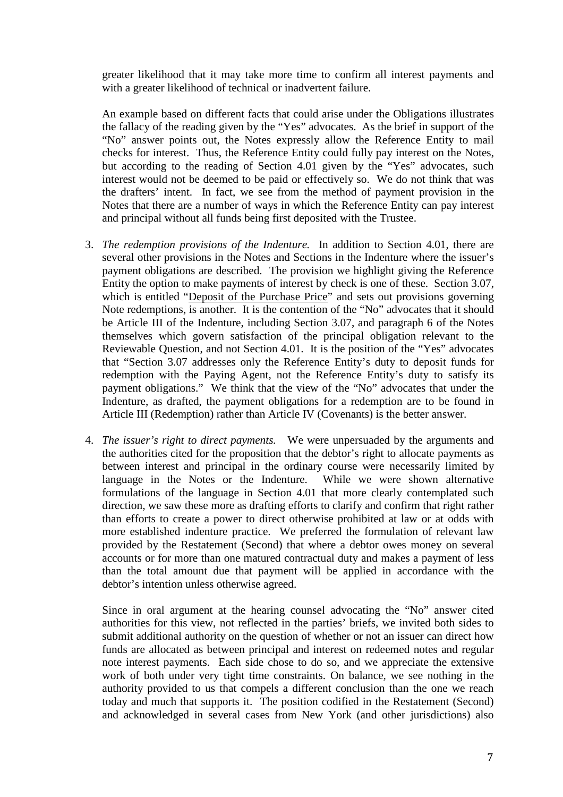greater likelihood that it may take more time to confirm all interest payments and with a greater likelihood of technical or inadvertent failure.

An example based on different facts that could arise under the Obligations illustrates the fallacy of the reading given by the "Yes" advocates. As the brief in support of the "No" answer points out, the Notes expressly allow the Reference Entity to mail checks for interest. Thus, the Reference Entity could fully pay interest on the Notes, but according to the reading of Section 4.01 given by the "Yes" advocates, such interest would not be deemed to be paid or effectively so. We do not think that was the drafters' intent. In fact, we see from the method of payment provision in the Notes that there are a number of ways in which the Reference Entity can pay interest and principal without all funds being first deposited with the Trustee.

- 3. *The redemption provisions of the Indenture.* In addition to Section 4.01, there are several other provisions in the Notes and Sections in the Indenture where the issuer's payment obligations are described. The provision we highlight giving the Reference Entity the option to make payments of interest by check is one of these. Section 3.07, which is entitled "Deposit of the Purchase Price" and sets out provisions governing Note redemptions, is another. It is the contention of the "No" advocates that it should be Article III of the Indenture, including Section 3.07, and paragraph 6 of the Notes themselves which govern satisfaction of the principal obligation relevant to the Reviewable Question, and not Section 4.01. It is the position of the "Yes" advocates that "Section 3.07 addresses only the Reference Entity's duty to deposit funds for redemption with the Paying Agent, not the Reference Entity's duty to satisfy its payment obligations." We think that the view of the "No" advocates that under the Indenture, as drafted, the payment obligations for a redemption are to be found in Article III (Redemption) rather than Article IV (Covenants) is the better answer.
- 4. *The issuer's right to direct payments.* We were unpersuaded by the arguments and the authorities cited for the proposition that the debtor's right to allocate payments as between interest and principal in the ordinary course were necessarily limited by language in the Notes or the Indenture. While we were shown alternative formulations of the language in Section 4.01 that more clearly contemplated such direction, we saw these more as drafting efforts to clarify and confirm that right rather than efforts to create a power to direct otherwise prohibited at law or at odds with more established indenture practice. We preferred the formulation of relevant law provided by the Restatement (Second) that where a debtor owes money on several accounts or for more than one matured contractual duty and makes a payment of less than the total amount due that payment will be applied in accordance with the debtor's intention unless otherwise agreed.

Since in oral argument at the hearing counsel advocating the "No" answer cited authorities for this view, not reflected in the parties' briefs, we invited both sides to submit additional authority on the question of whether or not an issuer can direct how funds are allocated as between principal and interest on redeemed notes and regular note interest payments. Each side chose to do so, and we appreciate the extensive work of both under very tight time constraints. On balance, we see nothing in the authority provided to us that compels a different conclusion than the one we reach today and much that supports it. The position codified in the Restatement (Second) and acknowledged in several cases from New York (and other jurisdictions) also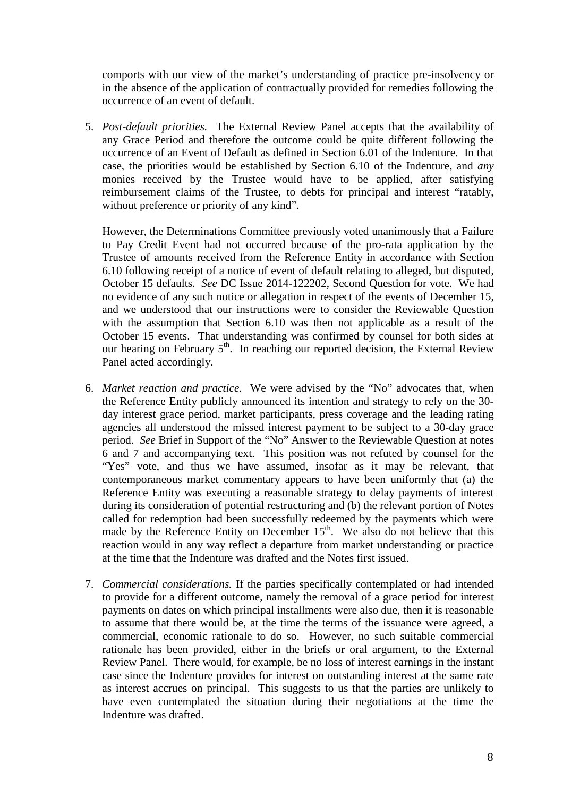comports with our view of the market's understanding of practice pre-insolvency or in the absence of the application of contractually provided for remedies following the occurrence of an event of default.

5. *Post-default priorities.* The External Review Panel accepts that the availability of any Grace Period and therefore the outcome could be quite different following the occurrence of an Event of Default as defined in Section 6.01 of the Indenture. In that case, the priorities would be established by Section 6.10 of the Indenture, and *any*  monies received by the Trustee would have to be applied, after satisfying reimbursement claims of the Trustee, to debts for principal and interest "ratably, without preference or priority of any kind".

However, the Determinations Committee previously voted unanimously that a Failure to Pay Credit Event had not occurred because of the pro-rata application by the Trustee of amounts received from the Reference Entity in accordance with Section 6.10 following receipt of a notice of event of default relating to alleged, but disputed, October 15 defaults. *See* DC Issue 2014-122202, Second Question for vote. We had no evidence of any such notice or allegation in respect of the events of December 15, and we understood that our instructions were to consider the Reviewable Question with the assumption that Section 6.10 was then not applicable as a result of the October 15 events. That understanding was confirmed by counsel for both sides at our hearing on February  $5<sup>th</sup>$ . In reaching our reported decision, the External Review Panel acted accordingly.

- 6. *Market reaction and practice.* We were advised by the "No" advocates that, when the Reference Entity publicly announced its intention and strategy to rely on the 30 day interest grace period, market participants, press coverage and the leading rating agencies all understood the missed interest payment to be subject to a 30-day grace period. *See* Brief in Support of the "No" Answer to the Reviewable Question at notes 6 and 7 and accompanying text. This position was not refuted by counsel for the "Yes" vote, and thus we have assumed, insofar as it may be relevant, that contemporaneous market commentary appears to have been uniformly that (a) the Reference Entity was executing a reasonable strategy to delay payments of interest during its consideration of potential restructuring and (b) the relevant portion of Notes called for redemption had been successfully redeemed by the payments which were made by the Reference Entity on December  $15<sup>th</sup>$ . We also do not believe that this reaction would in any way reflect a departure from market understanding or practice at the time that the Indenture was drafted and the Notes first issued.
- 7. *Commercial considerations.* If the parties specifically contemplated or had intended to provide for a different outcome, namely the removal of a grace period for interest payments on dates on which principal installments were also due, then it is reasonable to assume that there would be, at the time the terms of the issuance were agreed, a commercial, economic rationale to do so. However, no such suitable commercial rationale has been provided, either in the briefs or oral argument, to the External Review Panel. There would, for example, be no loss of interest earnings in the instant case since the Indenture provides for interest on outstanding interest at the same rate as interest accrues on principal. This suggests to us that the parties are unlikely to have even contemplated the situation during their negotiations at the time the Indenture was drafted.